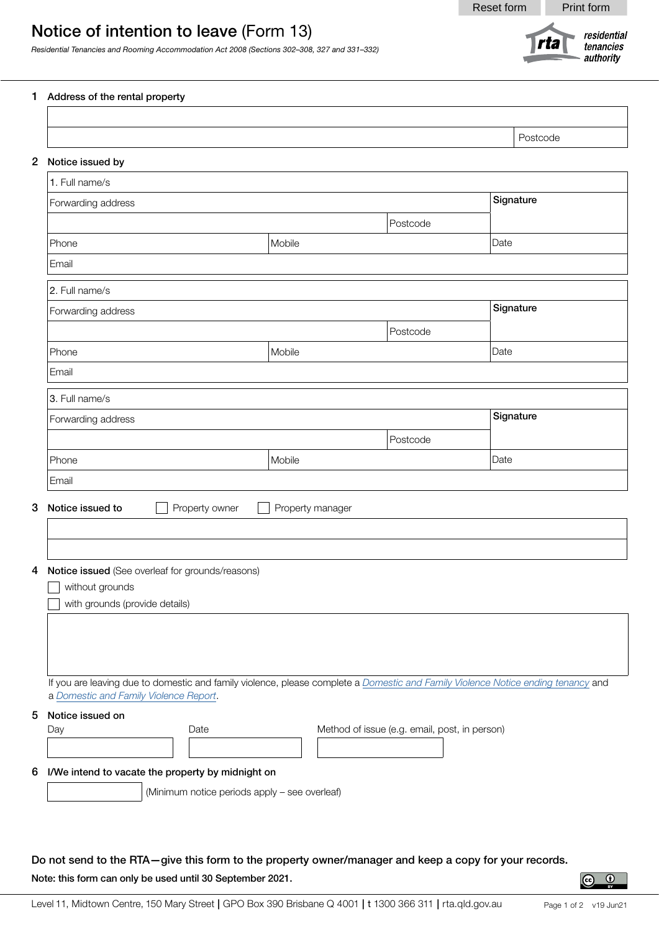rta

residential

tenancies authority



*Residential Tenancies and Rooming Accommodation Act 2008 (Sections 302–308, 327 and 331–332)*

## 1 Address of the rental property

|                                                    |                  |          | Postcode  |  |
|----------------------------------------------------|------------------|----------|-----------|--|
| 2 Notice issued by                                 |                  |          |           |  |
| 1. Full name/s                                     |                  |          |           |  |
| Forwarding address                                 |                  |          | Signature |  |
|                                                    |                  | Postcode |           |  |
| Phone                                              | Mobile           |          | Date      |  |
| Email                                              |                  |          |           |  |
| 2. Full name/s                                     |                  |          |           |  |
| Forwarding address                                 |                  |          |           |  |
|                                                    |                  | Postcode |           |  |
| Phone                                              | Mobile           |          | Date      |  |
| Email                                              |                  |          |           |  |
| 3. Full name/s                                     |                  |          |           |  |
| Forwarding address                                 |                  |          | Signature |  |
|                                                    | Postcode         |          |           |  |
| Phone                                              | Mobile           |          | Date      |  |
| Email                                              |                  |          |           |  |
| Notice issued to                                   |                  |          |           |  |
| Property owner                                     | Property manager |          |           |  |
|                                                    |                  |          |           |  |
|                                                    |                  |          |           |  |
| 4 Notice issued (See overleaf for grounds/reasons) |                  |          |           |  |
| without grounds                                    |                  |          |           |  |
| with grounds (provide details)                     |                  |          |           |  |

 If you are leaving due to domestic and family violence, please complete a *[Domestic and Family Violence Notice ending tenancy](https://www.rta.qld.gov.au/forms-resources/forms/forms-for-general-tenancies/domestic-and-family-violence-notice-ending)* and a *[Domestic and Family Violence Report](https://www.rta.qld.gov.au/forms-resources/forms/forms-for-general-tenancies/domestic-and-family-violence-report)*.

5 Notice issued on

| Dav.                                                | Date | Method of issue (e.g. email, post, in person) |  |
|-----------------------------------------------------|------|-----------------------------------------------|--|
|                                                     |      |                                               |  |
| 6 I/We intend to vacate the property by midnight on |      |                                               |  |

(Minimum notice periods apply – see overleaf)

## Do not send to the RTA—give this form to the property owner/manager and keep a copy for your records.

Note: this form can only be used until 30 September 2021.

 $\odot$ 

 $\odot$